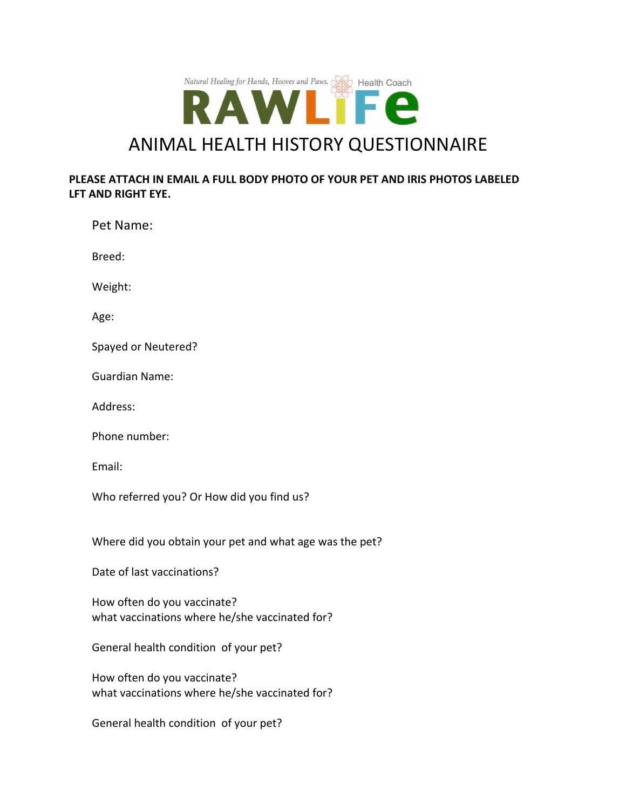

## **PLEASE ATTACH IN EMAIL A FULL BODY PHOTO OF YOUR PET AND IRIS PHOTOS LABELED LFT AND RIGHT EYE.**

| Pet Name:                                                                     |
|-------------------------------------------------------------------------------|
| Breed:                                                                        |
| Weight:                                                                       |
| Age:                                                                          |
| Spayed or Neutered?                                                           |
| <b>Guardian Name:</b>                                                         |
| Address:                                                                      |
| Phone number:                                                                 |
| Email:                                                                        |
| Who referred you? Or How did you find us?                                     |
| Where did you obtain your pet and what age was the pet?                       |
| Date of last vaccinations?                                                    |
| How often do you vaccinate?<br>what vaccinations where he/she vaccinated for? |
| General health condition of your pet?                                         |
| How often do you vaccinate?<br>what vaccinations where he/she vaccinated for? |
|                                                                               |

General health condition of your pet?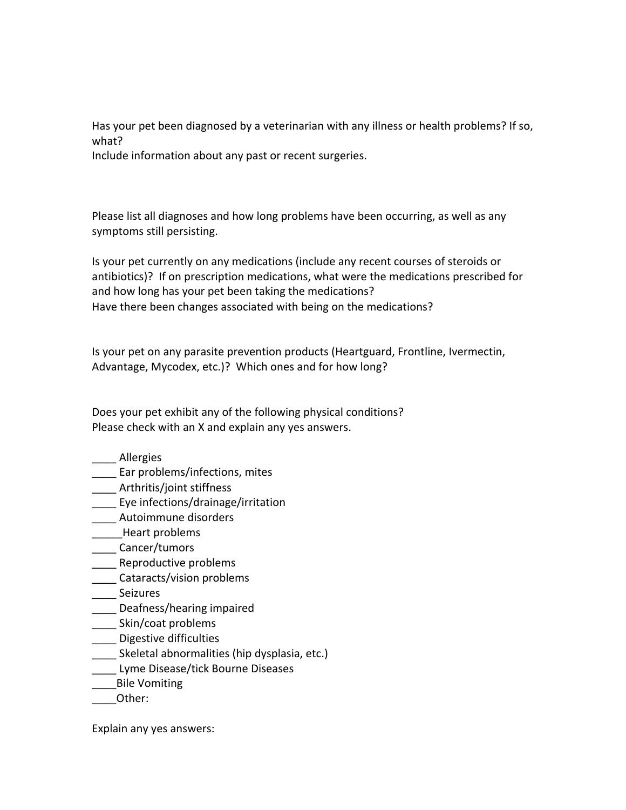Has your pet been diagnosed by a veterinarian with any illness or health problems? If so, what?

Include information about any past or recent surgeries.

Please list all diagnoses and how long problems have been occurring, as well as any symptoms still persisting.

Is your pet currently on any medications (include any recent courses of steroids or antibiotics)? If on prescription medications, what were the medications prescribed for and how long has your pet been taking the medications? Have there been changes associated with being on the medications?

Is your pet on any parasite prevention products (Heartguard, Frontline, Ivermectin, Advantage, Mycodex, etc.)? Which ones and for how long?

Does your pet exhibit any of the following physical conditions? Please check with an X and explain any yes answers.

- \_\_\_\_ Allergies
- Ear problems/infections, mites
- \_\_\_\_ Arthritis/joint stiffness
- \_\_\_\_ Eye infections/drainage/irritation
- \_\_\_\_ Autoimmune disorders
- \_\_\_\_\_Heart problems
- \_\_\_\_ Cancer/tumors
- \_\_\_\_ Reproductive problems
- \_\_\_\_ Cataracts/vision problems
- \_\_\_\_ Seizures
- \_\_\_\_ Deafness/hearing impaired
- \_\_\_\_ Skin/coat problems
- \_\_\_\_ Digestive difficulties
- Skeletal abnormalities (hip dysplasia, etc.)
- \_\_\_\_ Lyme Disease/tick Bourne Diseases
- \_\_\_\_Bile Vomiting
- \_\_\_\_Other:

Explain any yes answers: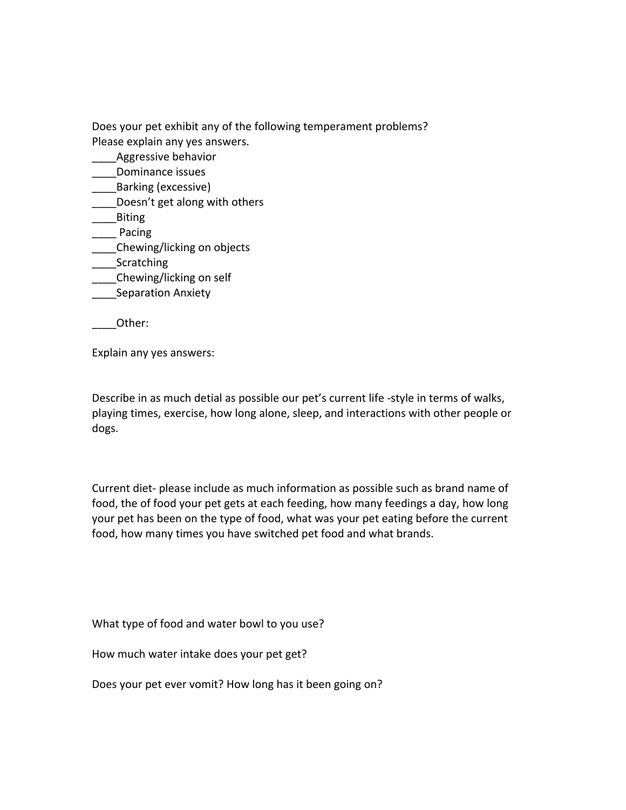Does your pet exhibit any of the following temperament problems? Please explain any yes answers.

- \_\_\_\_Aggressive behavior
- \_\_\_\_Dominance issues
- \_\_\_\_Barking (excessive)
- Doesn't get along with others
- \_\_\_\_Biting
- \_\_\_\_ Pacing
- \_\_\_\_Chewing/licking on objects
- **Scratching**
- \_\_\_\_Chewing/licking on self
- \_\_\_\_Separation Anxiety

\_\_\_\_Other:

Explain any yes answers:

Describe in as much detial as possible our pet's current life -style in terms of walks, playing times, exercise, how long alone, sleep, and interactions with other people or dogs.

Current diet- please include as much information as possible such as brand name of food, the of food your pet gets at each feeding, how many feedings a day, how long your pet has been on the type of food, what was your pet eating before the current food, how many times you have switched pet food and what brands.

What type of food and water bowl to you use?

How much water intake does your pet get?

Does your pet ever vomit? How long has it been going on?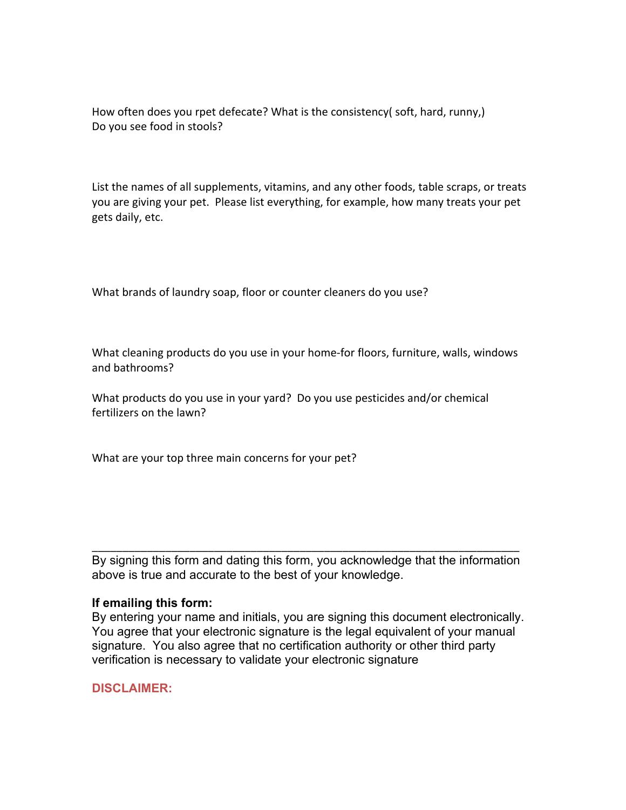How often does you rpet defecate? What is the consistency( soft, hard, runny,) Do you see food in stools?

List the names of all supplements, vitamins, and any other foods, table scraps, or treats you are giving your pet. Please list everything, for example, how many treats your pet gets daily, etc.

What brands of laundry soap, floor or counter cleaners do you use?

What cleaning products do you use in your home-for floors, furniture, walls, windows and bathrooms?

What products do you use in your yard? Do you use pesticides and/or chemical fertilizers on the lawn?

What are your top three main concerns for your pet?

By signing this form and dating this form, you acknowledge that the information above is true and accurate to the best of your knowledge.

\_\_\_\_\_\_\_\_\_\_\_\_\_\_\_\_\_\_\_\_\_\_\_\_\_\_\_\_\_\_\_\_\_\_\_\_\_\_\_\_\_\_\_\_\_\_\_\_\_\_\_\_\_\_\_\_\_\_\_\_\_\_\_\_\_\_\_\_\_\_

## **If emailing this form:**

By entering your name and initials, you are signing this document electronically. You agree that your electronic signature is the legal equivalent of your manual signature. You also agree that no certification authority or other third party verification is necessary to validate your electronic signature

**DISCLAIMER:**